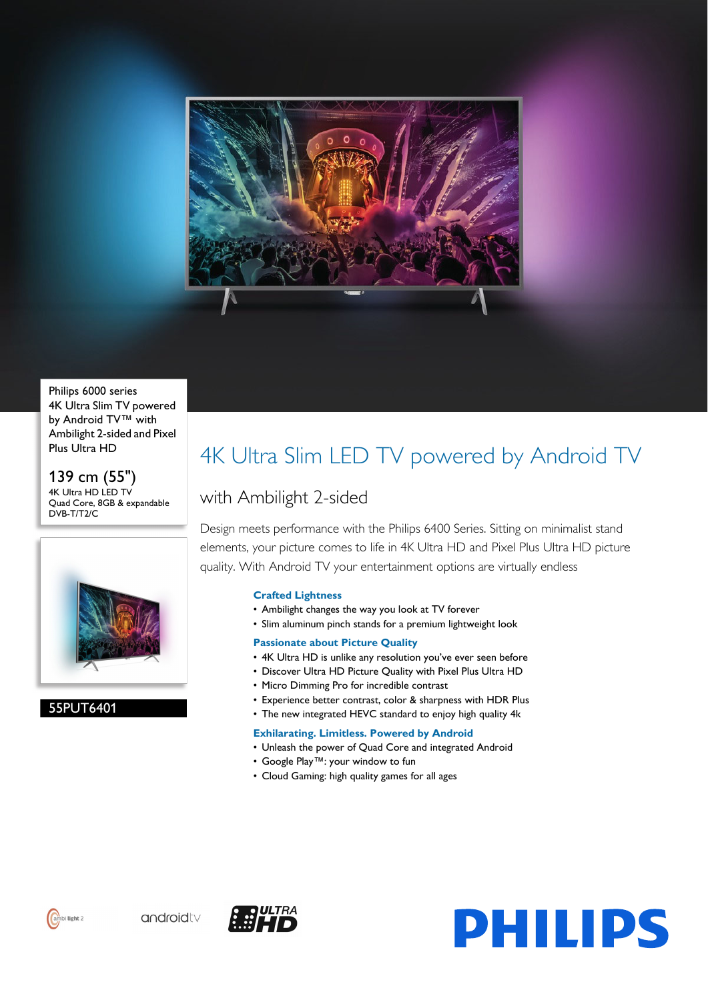

Philips 6000 series 4K Ultra Slim TV powered by Android TV™ with Ambilight 2-sided and Pixel Plus Ultra HD

139 cm (55") 4K Ultra HD LED TV Quad Core, 8GB & expandable DVB-T/T2/C



# 55PUT6401

# 4K Ultra Slim LED TV powered by Android TV

# with Ambilight 2-sided

Design meets performance with the Philips 6400 Series. Sitting on minimalist stand elements, your picture comes to life in 4K Ultra HD and Pixel Plus Ultra HD picture quality. With Android TV your entertainment options are virtually endless

## **Crafted Lightness**

- Ambilight changes the way you look at TV forever
- Slim aluminum pinch stands for a premium lightweight look
- **Passionate about Picture Quality**
- 4K Ultra HD is unlike any resolution you've ever seen before
- Discover Ultra HD Picture Quality with Pixel Plus Ultra HD
- Micro Dimming Pro for incredible contrast
- Experience better contrast, color & sharpness with HDR Plus
- The new integrated HEVC standard to enjoy high quality 4k

### **Exhilarating. Limitless. Powered by Android**

- Unleash the power of Quad Core and integrated Android
- Google Play™: your window to fun
- Cloud Gaming: high quality games for all ages



androidty



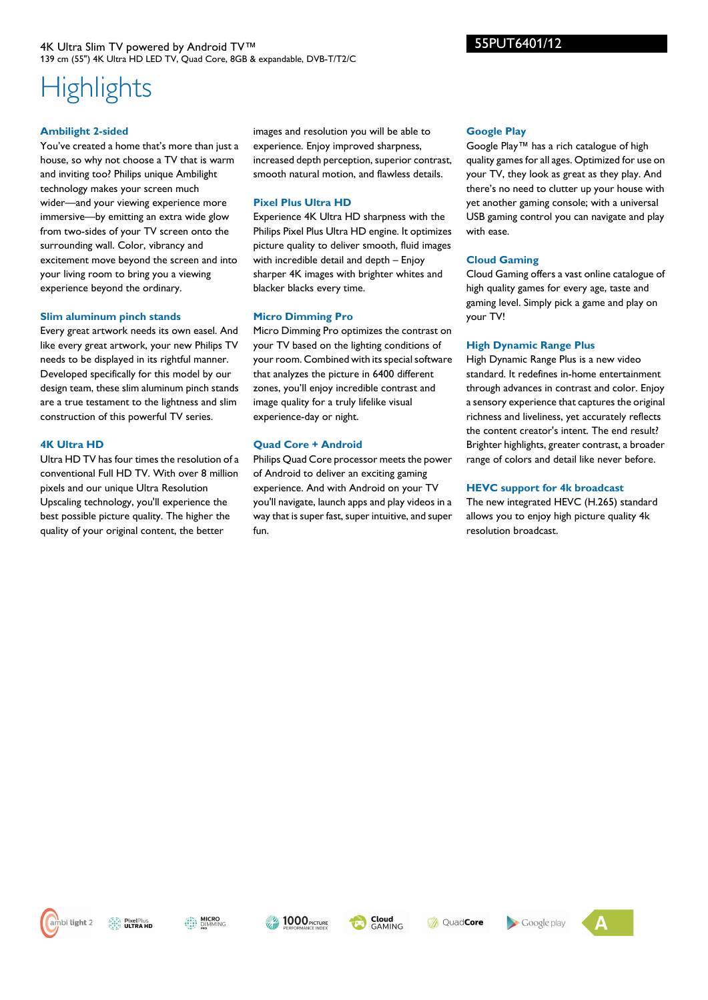# **Highlights**

#### **Ambilight 2-sided**

You've created a home that's more than just a house, so why not choose a TV that is warm and inviting too? Philips unique Ambilight technology makes your screen much wider—and your viewing experience more immersive—by emitting an extra wide glow from two-sides of your TV screen onto the surrounding wall. Color, vibrancy and excitement move beyond the screen and into your living room to bring you a viewing experience beyond the ordinary.

#### **Slim aluminum pinch stands**

Every great artwork needs its own easel. And like every great artwork, your new Philips TV needs to be displayed in its rightful manner. Developed specifically for this model by our design team, these slim aluminum pinch stands are a true testament to the lightness and slim construction of this powerful TV series.

#### **4K Ultra HD**

Ultra HD TV has four times the resolution of a conventional Full HD TV. With over 8 million pixels and our unique Ultra Resolution Upscaling technology, you'll experience the best possible picture quality. The higher the quality of your original content, the better

images and resolution you will be able to experience. Enjoy improved sharpness, increased depth perception, superior contrast, smooth natural motion, and flawless details.

#### **Pixel Plus Ultra HD**

Experience 4K Ultra HD sharpness with the Philips Pixel Plus Ultra HD engine. It optimizes picture quality to deliver smooth, fluid images with incredible detail and depth – Enjoy sharper 4K images with brighter whites and blacker blacks every time.

#### **Micro Dimming Pro**

Micro Dimming Pro optimizes the contrast on your TV based on the lighting conditions of your room. Combined with its special software that analyzes the picture in 6400 different zones, you'll enjoy incredible contrast and image quality for a truly lifelike visual experience-day or night.

#### **Quad Core + Android**

Philips Quad Core processor meets the power of Android to deliver an exciting gaming experience. And with Android on your TV you'll navigate, launch apps and play videos in a way that is super fast, super intuitive, and super fun.

#### **Google Play**

Google Play™ has a rich catalogue of high quality games for all ages. Optimized for use on your TV, they look as great as they play. And there's no need to clutter up your house with yet another gaming console; with a universal USB gaming control you can navigate and play with ease.

#### **Cloud Gaming**

Cloud Gaming offers a vast online catalogue of high quality games for every age, taste and gaming level. Simply pick a game and play on your TV!

#### **High Dynamic Range Plus**

High Dynamic Range Plus is a new video standard. It redefines in-home entertainment through advances in contrast and color. Enjoy a sensory experience that captures the original richness and liveliness, yet accurately reflects the content creator's intent. The end result? Brighter highlights, greater contrast, a broader range of colors and detail like never before.

#### **HEVC support for 4k broadcast**

The new integrated HEVC (H.265) standard allows you to enjoy high picture quality 4k resolution broadcast.

nbi light 2